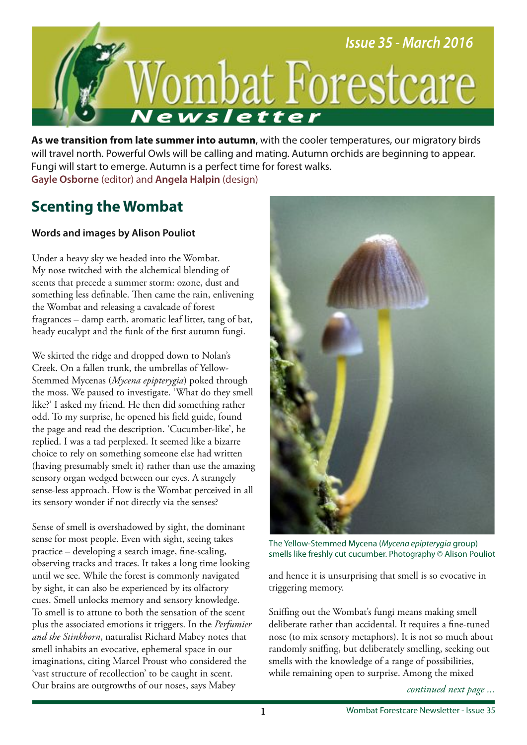

**As we transition from late summer into autumn**, with the cooler temperatures, our migratory birds will travel north. Powerful Owls will be calling and mating. Autumn orchids are beginning to appear. Fungi will start to emerge. Autumn is a perfect time for forest walks. **Gayle Osborne** (editor) and **Angela Halpin** (design)

## **Scenting the Wombat**

## **Words and images by Alison Pouliot**

Under a heavy sky we headed into the Wombat. My nose twitched with the alchemical blending of scents that precede a summer storm: ozone, dust and something less definable. Then came the rain, enlivening the Wombat and releasing a cavalcade of forest fragrances – damp earth, aromatic leaf litter, tang of bat, heady eucalypt and the funk of the frst autumn fungi.

We skirted the ridge and dropped down to Nolan's Creek. On a fallen trunk, the umbrellas of Yellow-Stemmed Mycenas (*Mycena epipterygia*) poked through the moss. We paused to investigate. 'What do they smell like?' I asked my friend. He then did something rather odd. To my surprise, he opened his feld guide, found the page and read the description. 'Cucumber-like', he replied. I was a tad perplexed. It seemed like a bizarre choice to rely on something someone else had written (having presumably smelt it) rather than use the amazing sensory organ wedged between our eyes. A strangely sense-less approach. How is the Wombat perceived in all its sensory wonder if not directly via the senses?

Sense of smell is overshadowed by sight, the dominant sense for most people. Even with sight, seeing takes practice – developing a search image, fne-scaling, observing tracks and traces. It takes a long time looking until we see. While the forest is commonly navigated by sight, it can also be experienced by its olfactory cues. Smell unlocks memory and sensory knowledge. To smell is to attune to both the sensation of the scent plus the associated emotions it triggers. In the *Perfumier and the Stinkhorn*, naturalist Richard Mabey notes that smell inhabits an evocative, ephemeral space in our imaginations, citing Marcel Proust who considered the 'vast structure of recollection' to be caught in scent. Our brains are outgrowths of our noses, says Mabey



The Yellow-Stemmed Mycena (Mycena epipterygia group) smells like freshly cut cucumber. Photography © Alison Pouliot

and hence it is unsurprising that smell is so evocative in triggering memory.

Snifng out the Wombat's fungi means making smell deliberate rather than accidental. It requires a fne-tuned nose (to mix sensory metaphors). It is not so much about randomly snifng, but deliberately smelling, seeking out smells with the knowledge of a range of possibilities, while remaining open to surprise. Among the mixed

*continued next page ...*